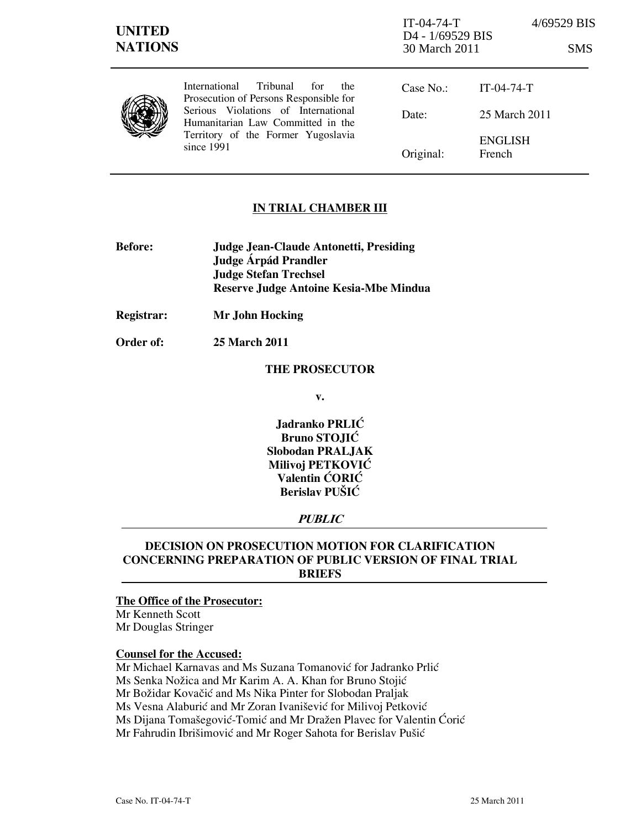| <b>UNITED</b><br><b>NATIONS</b> |                                                                                                                                                                                                                   | $IT-04-74-T$<br>D4 - 1/69529 BIS<br>30 March 2011 |                          | 4/69529 BIS<br><b>SMS</b> |
|---------------------------------|-------------------------------------------------------------------------------------------------------------------------------------------------------------------------------------------------------------------|---------------------------------------------------|--------------------------|---------------------------|
|                                 | Tribunal<br>International<br>for<br>the<br>Prosecution of Persons Responsible for<br>Serious Violations of International<br>Humanitarian Law Committed in the<br>Territory of the Former Yugoslavia<br>since 1991 | Case No.                                          | $IT-04-74-T$             |                           |
|                                 |                                                                                                                                                                                                                   | Date:                                             | 25 March 2011            |                           |
|                                 |                                                                                                                                                                                                                   | Original:                                         | <b>ENGLISH</b><br>French |                           |

## IN TRIAL CHAMBER III

- Before: Judge Jean-Claude Antonetti, Presiding Judge Árpád Prandler Judge Stefan Trechsel Reserve Judge Antoine Kesia-Mbe Mindua
- Registrar: Mr John Hocking
- Order of: 25 March 2011

#### THE PROSECUTOR

v.

Jadranko PRLIĆ Bruno STOJIĆ Slobodan PRALJAK Milivoj PETKOVIĆ Valentin ĆORIĆ Berislav PUŠIĆ

### **PUBLIC**

# DECISION ON PROSECUTION MOTION FOR CLARIFICATION CONCERNING PREPARATION OF PUBLIC VERSION OF FINAL TRIAL BRIEFS

# The Office of the Prosecutor:

Mr Kenneth Scott Mr Douglas Stringer

#### Counsel for the Accused:

Mr Michael Karnavas and Ms Suzana Tomanović for Jadranko Prlić Ms Senka Nožica and Mr Karim A. A. Khan for Bruno Stojić Mr Božidar Kovačić and Ms Nika Pinter for Slobodan Praljak Ms Vesna Alaburić and Mr Zoran Ivanišević for Milivoj Petković Ms Dijana Tomašegović-Tomić and Mr Dražen Plavec for Valentin Ćorić Mr Fahrudin Ibrišimović and Mr Roger Sahota for Berislav Pušić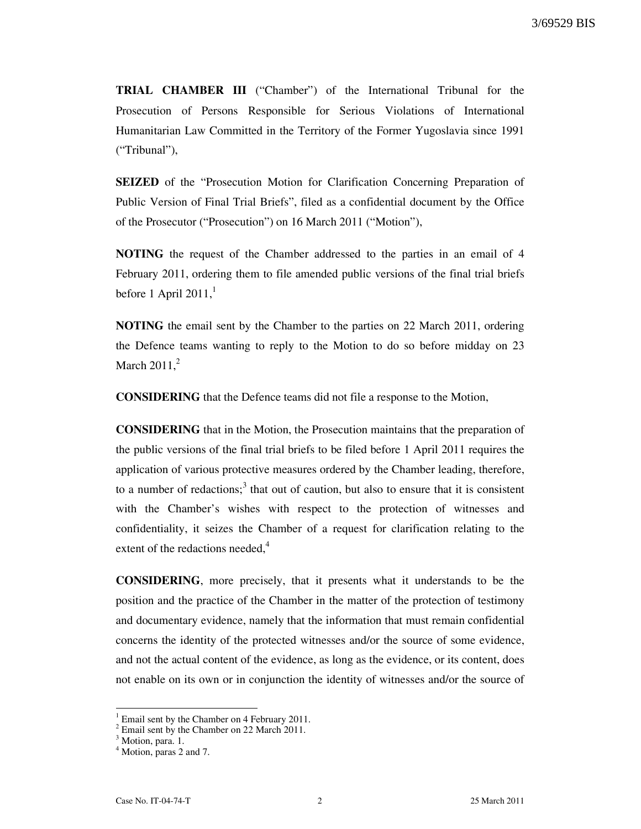TRIAL CHAMBER III ("Chamber") of the International Tribunal for the Prosecution of Persons Responsible for Serious Violations of International Humanitarian Law Committed in the Territory of the Former Yugoslavia since 1991 ("Tribunal"),

SEIZED of the "Prosecution Motion for Clarification Concerning Preparation of Public Version of Final Trial Briefs", filed as a confidential document by the Office of the Prosecutor ("Prosecution") on 16 March 2011 ("Motion"),

NOTING the request of the Chamber addressed to the parties in an email of 4 February 2011, ordering them to file amended public versions of the final trial briefs before 1 April 2011, $<sup>1</sup>$ </sup>

NOTING the email sent by the Chamber to the parties on 22 March 2011, ordering the Defence teams wanting to reply to the Motion to do so before midday on 23 March  $2011<sup>2</sup>$ 

CONSIDERING that the Defence teams did not file a response to the Motion,

CONSIDERING that in the Motion, the Prosecution maintains that the preparation of the public versions of the final trial briefs to be filed before 1 April 2011 requires the application of various protective measures ordered by the Chamber leading, therefore, to a number of redactions;<sup>3</sup> that out of caution, but also to ensure that it is consistent with the Chamber's wishes with respect to the protection of witnesses and confidentiality, it seizes the Chamber of a request for clarification relating to the extent of the redactions needed, $4$ 

CONSIDERING, more precisely, that it presents what it understands to be the position and the practice of the Chamber in the matter of the protection of testimony and documentary evidence, namely that the information that must remain confidential concerns the identity of the protected witnesses and/or the source of some evidence, and not the actual content of the evidence, as long as the evidence, or its content, does not enable on its own or in conjunction the identity of witnesses and/or the source of

 $\overline{a}$ 

<sup>1</sup> Email sent by the Chamber on 4 February 2011.

<sup>&</sup>lt;sup>2</sup> Email sent by the Chamber on 22 March 2011.

<sup>&</sup>lt;sup>3</sup> Motion, para. 1.

<sup>&</sup>lt;sup>4</sup> Motion, paras 2 and 7.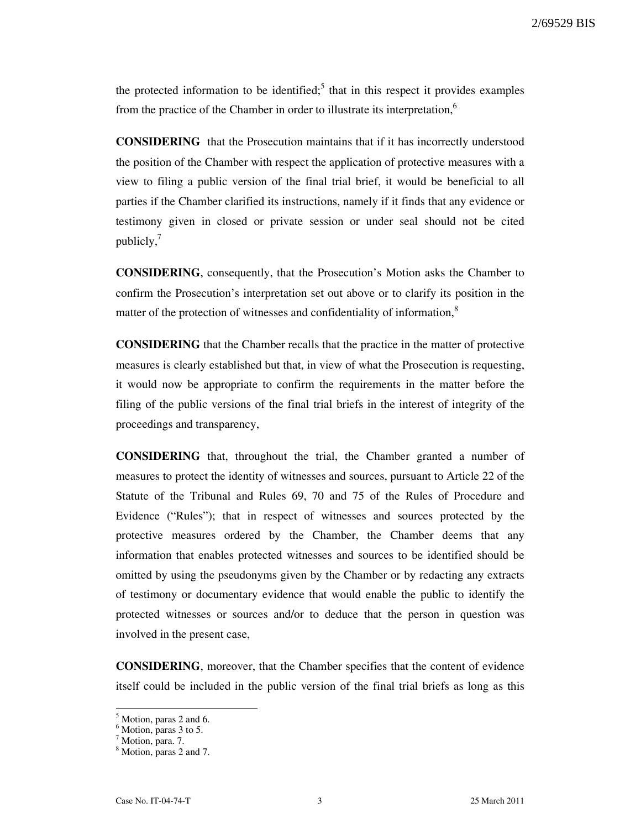the protected information to be identified;<sup>5</sup> that in this respect it provides examples from the practice of the Chamber in order to illustrate its interpretation,<sup>6</sup>

CONSIDERING that the Prosecution maintains that if it has incorrectly understood the position of the Chamber with respect the application of protective measures with a view to filing a public version of the final trial brief, it would be beneficial to all parties if the Chamber clarified its instructions, namely if it finds that any evidence or testimony given in closed or private session or under seal should not be cited publicly, $^7$ 

CONSIDERING, consequently, that the Prosecution's Motion asks the Chamber to confirm the Prosecution's interpretation set out above or to clarify its position in the matter of the protection of witnesses and confidentiality of information,<sup>8</sup>

CONSIDERING that the Chamber recalls that the practice in the matter of protective measures is clearly established but that, in view of what the Prosecution is requesting, it would now be appropriate to confirm the requirements in the matter before the filing of the public versions of the final trial briefs in the interest of integrity of the proceedings and transparency,

CONSIDERING that, throughout the trial, the Chamber granted a number of measures to protect the identity of witnesses and sources, pursuant to Article 22 of the Statute of the Tribunal and Rules 69, 70 and 75 of the Rules of Procedure and Evidence ("Rules"); that in respect of witnesses and sources protected by the protective measures ordered by the Chamber, the Chamber deems that any information that enables protected witnesses and sources to be identified should be omitted by using the pseudonyms given by the Chamber or by redacting any extracts of testimony or documentary evidence that would enable the public to identify the protected witnesses or sources and/or to deduce that the person in question was involved in the present case,

CONSIDERING, moreover, that the Chamber specifies that the content of evidence itself could be included in the public version of the final trial briefs as long as this

 $<sup>5</sup>$  Motion, paras 2 and 6.</sup>

<sup>6</sup> Motion, paras 3 to 5.

<sup>&</sup>lt;sup>7</sup> Motion, para. 7.

<sup>&</sup>lt;sup>8</sup> Motion, paras 2 and 7.